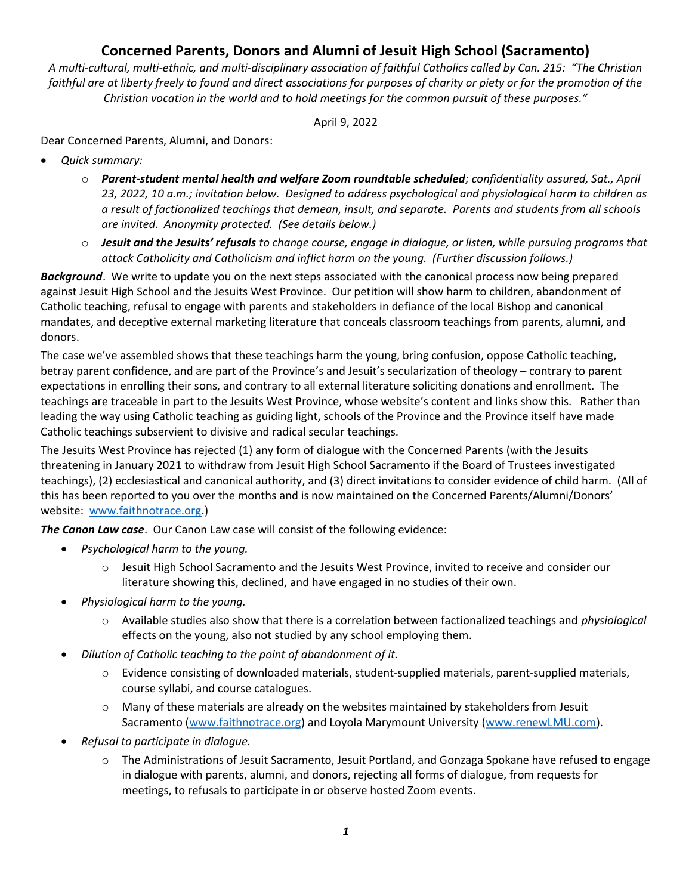# Concerned Parents, Donors and Alumni of Jesuit High School (Sacramento)

A multi-cultural, multi-ethnic, and multi-disciplinary association of faithful Catholics called by Can. 215: "The Christian faithful are at liberty freely to found and direct associations for purposes of charity or piety or for the promotion of the Christian vocation in the world and to hold meetings for the common pursuit of these purposes."

April 9, 2022

Dear Concerned Parents, Alumni, and Donors:

- Quick summary:
	- $\circ$  Parent-student mental health and welfare Zoom roundtable scheduled; confidentiality assured, Sat., April 23, 2022, 10 a.m.; invitation below. Designed to address psychological and physiological harm to children as a result of factionalized teachings that demean, insult, and separate. Parents and students from all schools are invited. Anonymity protected. (See details below.)
	- o Jesuit and the Jesuits' refusals to change course, engage in dialogue, or listen, while pursuing programs that attack Catholicity and Catholicism and inflict harm on the young. (Further discussion follows.)

**Background.** We write to update you on the next steps associated with the canonical process now being prepared against Jesuit High School and the Jesuits West Province. Our petition will show harm to children, abandonment of Catholic teaching, refusal to engage with parents and stakeholders in defiance of the local Bishop and canonical mandates, and deceptive external marketing literature that conceals classroom teachings from parents, alumni, and donors.

The case we've assembled shows that these teachings harm the young, bring confusion, oppose Catholic teaching, betray parent confidence, and are part of the Province's and Jesuit's secularization of theology – contrary to parent expectations in enrolling their sons, and contrary to all external literature soliciting donations and enrollment. The teachings are traceable in part to the Jesuits West Province, whose website's content and links show this. Rather than leading the way using Catholic teaching as guiding light, schools of the Province and the Province itself have made Catholic teachings subservient to divisive and radical secular teachings.

The Jesuits West Province has rejected (1) any form of dialogue with the Concerned Parents (with the Jesuits threatening in January 2021 to withdraw from Jesuit High School Sacramento if the Board of Trustees investigated teachings), (2) ecclesiastical and canonical authority, and (3) direct invitations to consider evidence of child harm. (All of this has been reported to you over the months and is now maintained on the Concerned Parents/Alumni/Donors' website: www.faithnotrace.org.)

The Canon Law case. Our Canon Law case will consist of the following evidence:

- Psychological harm to the young.
	- o Jesuit High School Sacramento and the Jesuits West Province, invited to receive and consider our literature showing this, declined, and have engaged in no studies of their own.
- Physiological harm to the young.
	- $\circ$  Available studies also show that there is a correlation between factionalized teachings and *physiological* effects on the young, also not studied by any school employing them.
- Dilution of Catholic teaching to the point of abandonment of it.
	- $\circ$  Evidence consisting of downloaded materials, student-supplied materials, parent-supplied materials, course syllabi, and course catalogues.
	- o Many of these materials are already on the websites maintained by stakeholders from Jesuit Sacramento (www.faithnotrace.org) and Loyola Marymount University (www.renewLMU.com).
- Refusal to participate in dialogue.
	- o The Administrations of Jesuit Sacramento, Jesuit Portland, and Gonzaga Spokane have refused to engage in dialogue with parents, alumni, and donors, rejecting all forms of dialogue, from requests for meetings, to refusals to participate in or observe hosted Zoom events.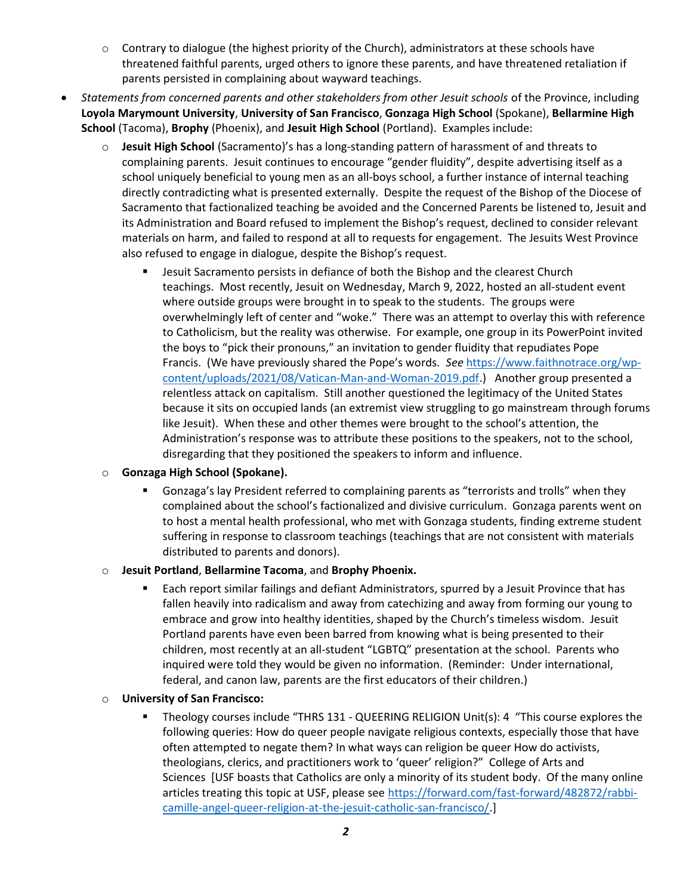- $\circ$  Contrary to dialogue (the highest priority of the Church), administrators at these schools have threatened faithful parents, urged others to ignore these parents, and have threatened retaliation if parents persisted in complaining about wayward teachings.
- Statements from concerned parents and other stakeholders from other Jesuit schools of the Province, including Loyola Marymount University, University of San Francisco, Gonzaga High School (Spokane), Bellarmine High School (Tacoma), Brophy (Phoenix), and Jesuit High School (Portland). Examples include:
	- o Jesuit High School (Sacramento)'s has a long-standing pattern of harassment of and threats to complaining parents. Jesuit continues to encourage "gender fluidity", despite advertising itself as a school uniquely beneficial to young men as an all-boys school, a further instance of internal teaching directly contradicting what is presented externally. Despite the request of the Bishop of the Diocese of Sacramento that factionalized teaching be avoided and the Concerned Parents be listened to, Jesuit and its Administration and Board refused to implement the Bishop's request, declined to consider relevant materials on harm, and failed to respond at all to requests for engagement. The Jesuits West Province also refused to engage in dialogue, despite the Bishop's request.
		- Jesuit Sacramento persists in defiance of both the Bishop and the clearest Church teachings. Most recently, Jesuit on Wednesday, March 9, 2022, hosted an all-student event where outside groups were brought in to speak to the students. The groups were overwhelmingly left of center and "woke." There was an attempt to overlay this with reference to Catholicism, but the reality was otherwise. For example, one group in its PowerPoint invited the boys to "pick their pronouns," an invitation to gender fluidity that repudiates Pope Francis. (We have previously shared the Pope's words. See https://www.faithnotrace.org/wpcontent/uploads/2021/08/Vatican-Man-and-Woman-2019.pdf.) Another group presented a relentless attack on capitalism. Still another questioned the legitimacy of the United States because it sits on occupied lands (an extremist view struggling to go mainstream through forums like Jesuit). When these and other themes were brought to the school's attention, the Administration's response was to attribute these positions to the speakers, not to the school, disregarding that they positioned the speakers to inform and influence.

#### o Gonzaga High School (Spokane).

 Gonzaga's lay President referred to complaining parents as "terrorists and trolls" when they complained about the school's factionalized and divisive curriculum. Gonzaga parents went on to host a mental health professional, who met with Gonzaga students, finding extreme student suffering in response to classroom teachings (teachings that are not consistent with materials distributed to parents and donors).

#### o Jesuit Portland, Bellarmine Tacoma, and Brophy Phoenix.

 Each report similar failings and defiant Administrators, spurred by a Jesuit Province that has fallen heavily into radicalism and away from catechizing and away from forming our young to embrace and grow into healthy identities, shaped by the Church's timeless wisdom. Jesuit Portland parents have even been barred from knowing what is being presented to their children, most recently at an all-student "LGBTQ" presentation at the school. Parents who inquired were told they would be given no information. (Reminder: Under international, federal, and canon law, parents are the first educators of their children.)

#### o University of San Francisco:

 Theology courses include "THRS 131 - QUEERING RELIGION Unit(s): 4 "This course explores the following queries: How do queer people navigate religious contexts, especially those that have often attempted to negate them? In what ways can religion be queer How do activists, theologians, clerics, and practitioners work to 'queer' religion?" College of Arts and Sciences [USF boasts that Catholics are only a minority of its student body. Of the many online articles treating this topic at USF, please see https://forward.com/fast-forward/482872/rabbicamille-angel-queer-religion-at-the-jesuit-catholic-san-francisco/.]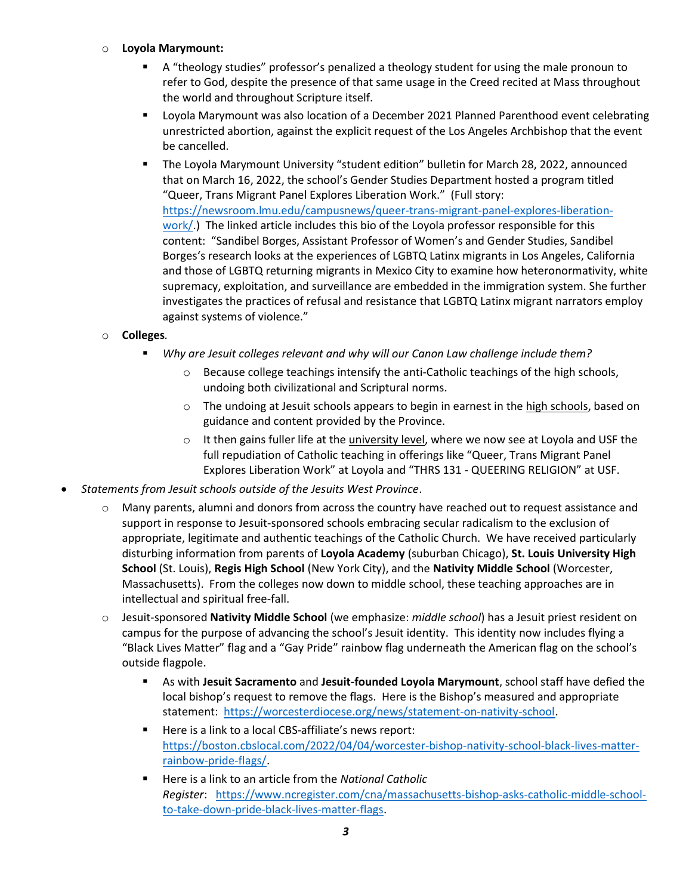### o Loyola Marymount:

- A "theology studies" professor's penalized a theology student for using the male pronoun to refer to God, despite the presence of that same usage in the Creed recited at Mass throughout the world and throughout Scripture itself.
- Loyola Marymount was also location of a December 2021 Planned Parenthood event celebrating unrestricted abortion, against the explicit request of the Los Angeles Archbishop that the event be cancelled.
- The Loyola Marymount University "student edition" bulletin for March 28, 2022, announced that on March 16, 2022, the school's Gender Studies Department hosted a program titled "Queer, Trans Migrant Panel Explores Liberation Work." (Full story: https://newsroom.lmu.edu/campusnews/queer-trans-migrant-panel-explores-liberationwork/.) The linked article includes this bio of the Loyola professor responsible for this content: "Sandibel Borges, Assistant Professor of Women's and Gender Studies, Sandibel Borges's research looks at the experiences of LGBTQ Latinx migrants in Los Angeles, California and those of LGBTQ returning migrants in Mexico City to examine how heteronormativity, white supremacy, exploitation, and surveillance are embedded in the immigration system. She further investigates the practices of refusal and resistance that LGBTQ Latinx migrant narrators employ against systems of violence."

## o Colleges.

- Why are Jesuit colleges relevant and why will our Canon Law challenge include them?
	- Because college teachings intensify the anti-Catholic teachings of the high schools, undoing both civilizational and Scriptural norms.
	- o The undoing at Jesuit schools appears to begin in earnest in the high schools, based on guidance and content provided by the Province.
	- $\circ$  It then gains fuller life at the *university level*, where we now see at Loyola and USF the full repudiation of Catholic teaching in offerings like "Queer, Trans Migrant Panel Explores Liberation Work" at Loyola and "THRS 131 - QUEERING RELIGION" at USF.
- Statements from Jesuit schools outside of the Jesuits West Province.
	- o Many parents, alumni and donors from across the country have reached out to request assistance and support in response to Jesuit-sponsored schools embracing secular radicalism to the exclusion of appropriate, legitimate and authentic teachings of the Catholic Church. We have received particularly disturbing information from parents of Loyola Academy (suburban Chicago), St. Louis University High School (St. Louis), Regis High School (New York City), and the Nativity Middle School (Worcester, Massachusetts). From the colleges now down to middle school, these teaching approaches are in intellectual and spiritual free-fall.
	- $\circ$  Jesuit-sponsored **Nativity Middle School** (we emphasize: *middle school*) has a Jesuit priest resident on campus for the purpose of advancing the school's Jesuit identity. This identity now includes flying a "Black Lives Matter" flag and a "Gay Pride" rainbow flag underneath the American flag on the school's outside flagpole.
		- **As with Jesuit Sacramento and Jesuit-founded Loyola Marymount**, school staff have defied the local bishop's request to remove the flags. Here is the Bishop's measured and appropriate statement: https://worcesterdiocese.org/news/statement-on-nativity-school.
		- Here is a link to a local CBS-affiliate's news report: https://boston.cbslocal.com/2022/04/04/worcester-bishop-nativity-school-black-lives-matterrainbow-pride-flags/.
		- Here is a link to an article from the National Catholic Register: https://www.ncregister.com/cna/massachusetts-bishop-asks-catholic-middle-schoolto-take-down-pride-black-lives-matter-flags.